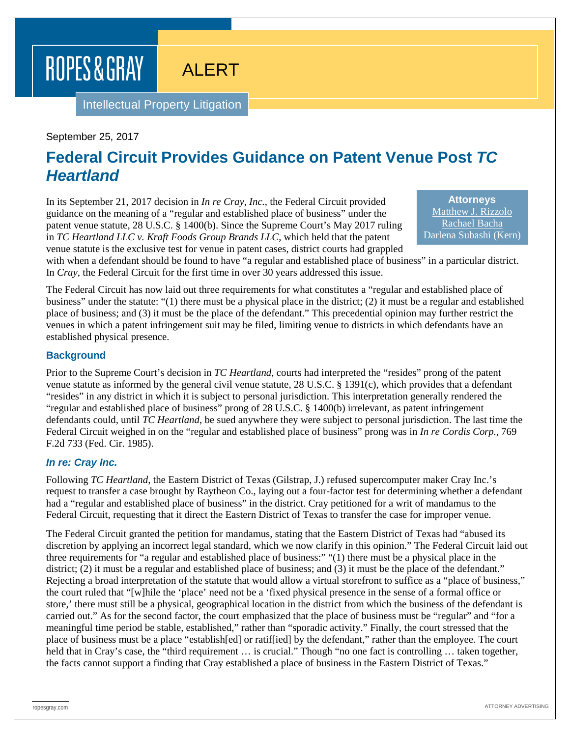# ROPES & GRAY

ALERT

Intellectual Property Litigation

### September 25, 2017

# **Federal Circuit Provides Guidance on Patent Venue Post** *TC Heartland*

In its September 21, 2017 decision in *In re Cray, Inc.*, the Federal Circuit provided guidance on the meaning of a "regular and established place of business" under the patent venue statute, 28 U.S.C. § 1400(b). Since the Supreme Court's May 2017 ruling in *TC Heartland LLC v. Kraft Foods Group Brands LLC*, which held that the patent venue statute is the exclusive test for venue in patent cases, district courts had grappled

**Attorneys** [Matthew J. Rizzolo](https://www.ropesgray.com/biographies/r/Matthew-Rizzolo.aspx) [Rachael Bacha](https://www.ropesgray.com/biographies/b/rachael-bacha.aspx) [Darlena Subashi \(Kern\)](https://www.ropesgray.com/biographies/s/darlena-kern-subashi.aspx)

with when a defendant should be found to have "a regular and established place of business" in a particular district. In *Cray*, the Federal Circuit for the first time in over 30 years addressed this issue.

The Federal Circuit has now laid out three requirements for what constitutes a "regular and established place of business" under the statute: "(1) there must be a physical place in the district; (2) it must be a regular and established place of business; and (3) it must be the place of the defendant." This precedential opinion may further restrict the venues in which a patent infringement suit may be filed, limiting venue to districts in which defendants have an established physical presence.

## **Background**

Prior to the Supreme Court's decision in *TC Heartland*, courts had interpreted the "resides" prong of the patent venue statute as informed by the general civil venue statute, 28 U.S.C. § 1391(c), which provides that a defendant "resides" in any district in which it is subject to personal jurisdiction. This interpretation generally rendered the "regular and established place of business" prong of 28 U.S.C. § 1400(b) irrelevant, as patent infringement defendants could, until *TC Heartland*, be sued anywhere they were subject to personal jurisdiction. The last time the Federal Circuit weighed in on the "regular and established place of business" prong was in *In re Cordis Corp.*, 769 F.2d 733 (Fed. Cir. 1985).

#### *In re: Cray Inc.*

Following *TC Heartland*, the Eastern District of Texas (Gilstrap, J.) refused supercomputer maker Cray Inc.'s request to transfer a case brought by Raytheon Co., laying out a four-factor test for determining whether a defendant had a "regular and established place of business" in the district. Cray petitioned for a writ of mandamus to the Federal Circuit, requesting that it direct the Eastern District of Texas to transfer the case for improper venue.

The Federal Circuit granted the petition for mandamus, stating that the Eastern District of Texas had "abused its discretion by applying an incorrect legal standard, which we now clarify in this opinion." The Federal Circuit laid out three requirements for "a regular and established place of business:" "(1) there must be a physical place in the district; (2) it must be a regular and established place of business; and (3) it must be the place of the defendant." Rejecting a broad interpretation of the statute that would allow a virtual storefront to suffice as a "place of business," the court ruled that "[w]hile the 'place' need not be a 'fixed physical presence in the sense of a formal office or store,' there must still be a physical, geographical location in the district from which the business of the defendant is carried out." As for the second factor, the court emphasized that the place of business must be "regular" and "for a meaningful time period be stable, established," rather than "sporadic activity." Finally, the court stressed that the place of business must be a place "establish[ed] or ratif[ied] by the defendant," rather than the employee. The court held that in Cray's case, the "third requirement ... is crucial." Though "no one fact is controlling ... taken together, the facts cannot support a finding that Cray established a place of business in the Eastern District of Texas."